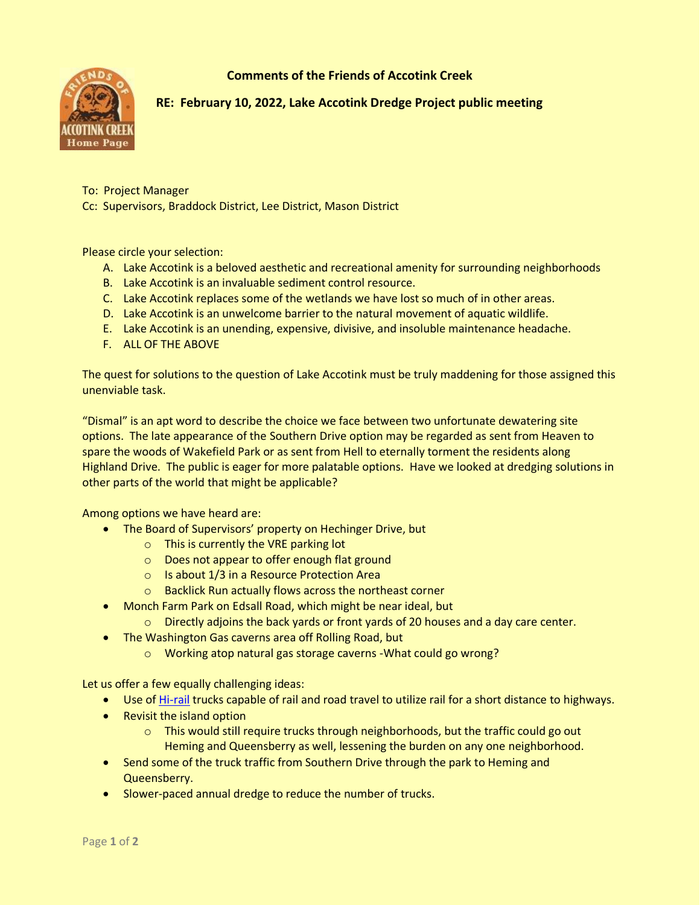**Comments of the Friends of Accotink Creek**



**RE: February 10, 2022, Lake Accotink Dredge Project public meeting**

To: Project Manager

Cc: Supervisors, Braddock District, Lee District, Mason District

Please circle your selection:

- A. Lake Accotink is a beloved aesthetic and recreational amenity for surrounding neighborhoods
- B. Lake Accotink is an invaluable sediment control resource.
- C. Lake Accotink replaces some of the wetlands we have lost so much of in other areas.
- D. Lake Accotink is an unwelcome barrier to the natural movement of aquatic wildlife.
- E. Lake Accotink is an unending, expensive, divisive, and insoluble maintenance headache.
- F. ALL OF THE ABOVE

The quest for solutions to the question of Lake Accotink must be truly maddening for those assigned this unenviable task.

"Dismal" is an apt word to describe the choice we face between two unfortunate dewatering site options. The late appearance of the Southern Drive option may be regarded as sent from Heaven to spare the woods of Wakefield Park or as sent from Hell to eternally torment the residents along Highland Drive. The public is eager for more palatable options. Have we looked at dredging solutions in other parts of the world that might be applicable?

Among options we have heard are:

- The Board of Supervisors' property on Hechinger Drive, but
	- o This is currently the VRE parking lot
	- o Does not appear to offer enough flat ground
	- o Is about 1/3 in a Resource Protection Area
	- o Backlick Run actually flows across the northeast corner
- Monch Farm Park on Edsall Road, which might be near ideal, but
	- $\circ$  Directly adjoins the back yards or front yards of 20 houses and a day care center.
- The Washington Gas caverns area off Rolling Road, but
	- o Working atop natural gas storage caverns -What could go wrong?

Let us offer a few equally challenging ideas:

- Use of [Hi-rail](https://www.customtruck.com/rental/hi-rail-trucks-equipment/hi-rail-dump-trucks/rear-rotary-26200-lbs-hi-rail-dump-truck/404-0600) trucks capable of rail and road travel to utilize rail for a short distance to highways.
- Revisit the island option
	- $\circ$  This would still require trucks through neighborhoods, but the traffic could go out Heming and Queensberry as well, lessening the burden on any one neighborhood.
- Send some of the truck traffic from Southern Drive through the park to Heming and Queensberry.
- Slower-paced annual dredge to reduce the number of trucks.